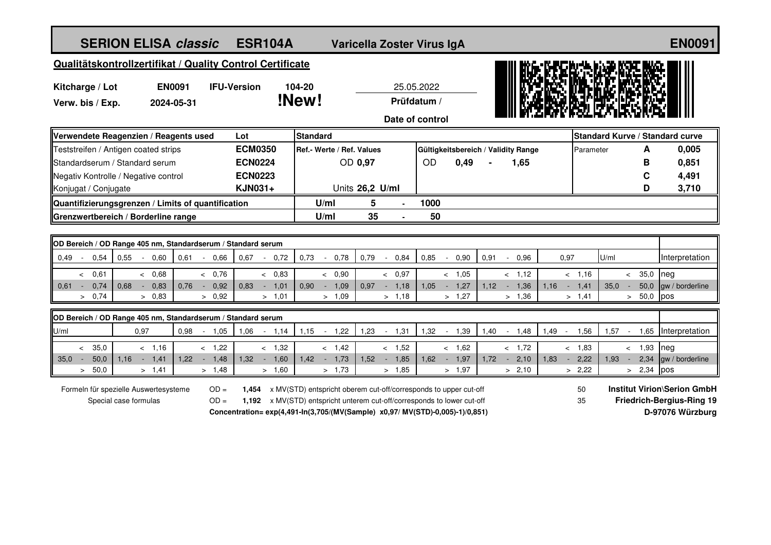| <b>SERION ELISA classic</b>                                  |                                                                               |                          | <b>ESR104A</b>                              |                                                                         |                 | Varicella Zoster Virus IgA |                                     |                          |                |                |                |                |                    |                | <b>EN0091</b>                          |
|--------------------------------------------------------------|-------------------------------------------------------------------------------|--------------------------|---------------------------------------------|-------------------------------------------------------------------------|-----------------|----------------------------|-------------------------------------|--------------------------|----------------|----------------|----------------|----------------|--------------------|----------------|----------------------------------------|
| Qualitätskontrollzertifikat / Quality Control Certificate    |                                                                               |                          |                                             |                                                                         |                 |                            |                                     |                          |                |                |                |                |                    |                |                                        |
| <b>EN0091</b><br>Kitcharge / Lot                             |                                                                               | <b>IFU-Version</b>       |                                             | 104-20<br>!New!                                                         |                 | 25.05.2022                 |                                     |                          |                |                |                |                |                    |                |                                        |
| Verw. bis / Exp.                                             | 2024-05-31                                                                    |                          |                                             |                                                                         | Prüfdatum /     |                            |                                     |                          |                |                |                |                |                    |                |                                        |
| Date of control                                              |                                                                               |                          |                                             |                                                                         |                 |                            |                                     |                          |                |                |                |                |                    |                |                                        |
| Verwendete Reagenzien / Reagents used                        |                                                                               |                          | Lot                                         | <b>Standard</b>                                                         |                 |                            |                                     |                          |                |                |                |                |                    | A              | <b>Standard Kurve / Standard curve</b> |
| Teststreifen / Antigen coated strips                         |                                                                               |                          | <b>ECM0350</b><br>Ref.- Werte / Ref. Values |                                                                         |                 |                            | Gültigkeitsbereich / Validity Range |                          |                |                |                |                | Parameter          | 0,005          |                                        |
| Standardserum / Standard serum                               |                                                                               |                          | <b>ECN0224</b>                              |                                                                         | OD 0,97         |                            | <b>OD</b>                           | 0,49                     |                | 1,65           |                |                |                    | В              | 0,851                                  |
| Negativ Kontrolle / Negative control                         |                                                                               |                          | <b>ECN0223</b>                              |                                                                         |                 |                            |                                     |                          |                |                |                |                |                    | C              | 4,491                                  |
| Konjugat / Conjugate                                         |                                                                               |                          | KJN031+                                     |                                                                         | Units 26,2 U/ml |                            |                                     |                          |                |                |                |                |                    | D              | 3,710                                  |
| Quantifizierungsgrenzen / Limits of quantification           |                                                                               |                          |                                             | U/ml                                                                    | 5               |                            | 1000                                |                          |                |                |                |                |                    |                |                                        |
| Grenzwertbereich / Borderline range                          |                                                                               |                          |                                             | U/ml                                                                    | 35              |                            | 50                                  |                          |                |                |                |                |                    |                |                                        |
|                                                              |                                                                               |                          |                                             |                                                                         |                 |                            |                                     |                          |                |                |                |                |                    |                |                                        |
| OD Bereich / OD Range 405 nm, Standardserum / Standard serum |                                                                               |                          |                                             |                                                                         |                 |                            |                                     |                          |                |                |                |                |                    |                |                                        |
| 0,54<br>0,55<br>0.49<br>$\sim$<br>$\sim$                     | 0.60<br>0,61                                                                  | 0.66<br>$\sim$ $ \sim$   | 0,67<br>0,72                                | 0,73<br>0,78<br>$\sim$                                                  | 0,79            | 0,84<br>$\sim$             | 0,85<br>$\sim$                      | 0,90                     | 0,91<br>$\sim$ | 0.96           | 0,97           |                | U/ml               |                | Interpretation                         |
| 0,61<br>$\lt$                                                | < 0,68                                                                        | & 0.76                   | < 0.83                                      | < 0.90                                                                  |                 | 0,97<br>$\prec$            |                                     | < 1.05                   |                | < 1.12         |                | < 1.16         | $\prec$            | 35,0           | neg                                    |
| 0,74<br>$0.61 -$<br>0.68<br>> 0.74                           | 0,83<br>0.76<br>$\blacksquare$<br>> 0.83                                      | 0,92<br>$\sim$<br>> 0.92 | 0.83<br>$-1,01$<br>> 1,01                   | 0.90<br>1,09<br>$\sim$<br>> 1,09                                        | 0,97            | 1,18<br>$\sim$<br>> 1,18   | 1,05                                | 1,27<br>$\sim$<br>> 1,27 | $1.12 - -$     | 1,36<br>> 1,36 | 1,16<br>$\sim$ | 1,41<br>> 1,41 | 35,0<br>$\sim$     | 50,0<br>> 50,0 | gw / borderline<br><b>pos</b>          |
|                                                              |                                                                               |                          |                                             |                                                                         |                 |                            |                                     |                          |                |                |                |                |                    |                |                                        |
| OD Bereich / OD Range 405 nm, Standardserum / Standard serum |                                                                               |                          |                                             |                                                                         |                 |                            |                                     |                          |                |                |                |                |                    |                |                                        |
| 0,97<br>U/ml                                                 | 0,98                                                                          | $-1,05$                  | 1,06<br>$-1,14$                             | 1,22<br>1,15<br>$\sim$ $\sim$                                           | 1,23            | 1,31<br>$\sim$ $-$         | 1,32<br>$\sim$                      | 1,39                     | 1,40<br>$\sim$ | 1,48           | $1,49 -$       | 1,56           | $1,57 -$           |                | 1,65 Interpretation                    |
| 35,0<br>$\lt$                                                | < 1,16                                                                        | $-1,22$                  | $-1,32$                                     | < 1,42                                                                  |                 | $-1,52$                    |                                     | < 1.62                   |                | $-1,72$        |                | < 1.83         |                    | $-1,93$        | neg                                    |
| 35.0<br>50,0<br>1.16<br>$\sim$                               | $-1,41$<br>1.22                                                               | 1,48<br>$\sim$           | 1.32<br>$-1,60$                             | $1,42 - 1,73$                                                           | 1.52            | 1,85<br>$\sim$             | 1,62                                | 1,97<br>$\sim$           | 1.72           | $-2,10$        | 1.83<br>$\sim$ | 2,22           | 1,93<br>$\sim$ $-$ | 2,34           | gw / borderline                        |
| 50,0<br>$\geq$                                               | > 1,41                                                                        | > 1,48                   | > 1,60                                      | > 1,73                                                                  |                 | > 1,85                     |                                     | > 1,97                   |                | > 2,10         |                | > 2,22         |                    | > 2,34         | pos                                    |
| Formeln für spezielle Auswertesysteme                        |                                                                               | $OD =$                   |                                             | 1,454 x MV(STD) entspricht oberem cut-off/corresponds to upper cut-off  |                 |                            |                                     |                          |                |                |                | 50             |                    |                | <b>Institut Virion\Serion GmbH</b>     |
| Special case formulas<br>$OD =$                              |                                                                               |                          |                                             | 1,192 x MV(STD) entspricht unterem cut-off/corresponds to lower cut-off |                 |                            |                                     |                          |                | 35             |                |                |                    |                | <b>Friedrich-Bergius-Ring 19</b>       |
|                                                              | Concentration= exp(4,491-ln(3,705/(MV(Sample) x0,97/ MV(STD)-0,005)-1)/0,851) |                          |                                             |                                                                         |                 |                            |                                     | D-97076 Würzburg         |                |                |                |                |                    |                |                                        |
|                                                              |                                                                               |                          |                                             |                                                                         |                 |                            |                                     |                          |                |                |                |                |                    |                |                                        |
|                                                              |                                                                               |                          |                                             |                                                                         |                 |                            |                                     |                          |                |                |                |                |                    |                |                                        |
|                                                              |                                                                               |                          |                                             |                                                                         |                 |                            |                                     |                          |                |                |                |                |                    |                |                                        |
|                                                              |                                                                               |                          |                                             |                                                                         |                 |                            |                                     |                          |                |                |                |                |                    |                |                                        |
|                                                              |                                                                               |                          |                                             |                                                                         |                 |                            |                                     |                          |                |                |                |                |                    |                |                                        |